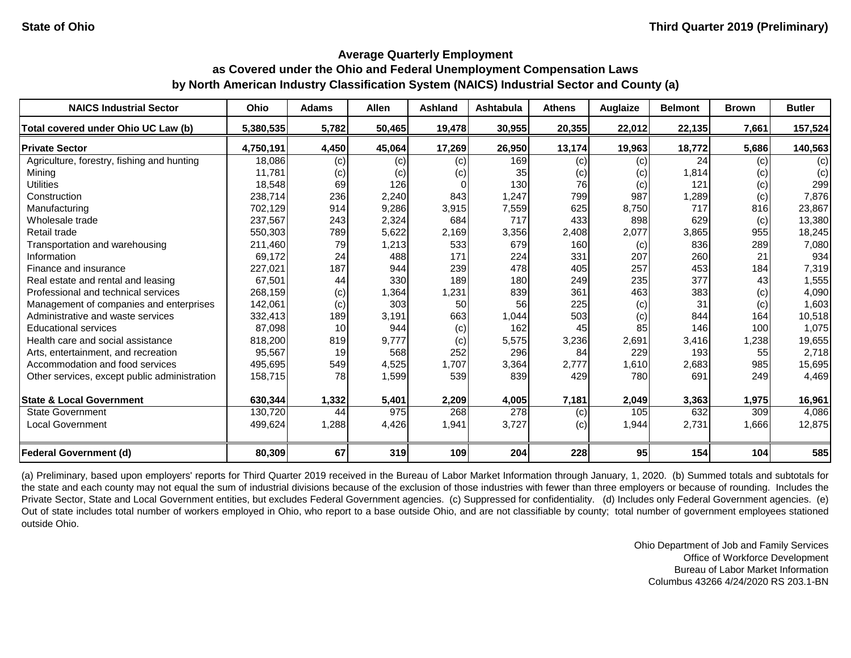#### **Average Quarterly Employment**

# **as Covered under the Ohio and Federal Unemployment Compensation Laws by North American Industry Classification System (NAICS) Industrial Sector and County (a)**

| <b>NAICS Industrial Sector</b>               | Ohio      | <b>Adams</b> | <b>Allen</b> | <b>Ashland</b> | <b>Ashtabula</b> | <b>Athens</b> | Auglaize | <b>Belmont</b> | <b>Brown</b> | <b>Butler</b> |
|----------------------------------------------|-----------|--------------|--------------|----------------|------------------|---------------|----------|----------------|--------------|---------------|
| Total covered under Ohio UC Law (b)          | 5,380,535 | 5,782        | 50,465       | 19,478         | 30,955           | 20,355        | 22,012   | 22,135         | 7,661        | 157,524       |
| <b>Private Sector</b>                        | 4,750,191 | 4,450        | 45,064       | 17,269         | 26,950           | 13,174        | 19,963   | 18,772         | 5,686        | 140,563       |
| Agriculture, forestry, fishing and hunting   | 18,086    | (c)          | (c)          | (c)            | 169              | (c)           | (c)      | 24             | (c)          | (c)           |
| Mining                                       | 11,781    | (c)          | (c)          | (c)            | 35               | (c)           | (c)      | 1,814          | (c)          | (c)           |
| <b>Utilities</b>                             | 18,548    | 69           | 126          |                | 130              | 76            | (c)      | 121            | (c)          | 299           |
| Construction                                 | 238,714   | 236          | 2,240        | 843            | 1,247            | 799           | 987      | 1,289          | (c)          | 7,876         |
| Manufacturing                                | 702,129   | 914          | 9,286        | 3,915          | 7,559            | 625           | 8,750    | 717            | 816          | 23,867        |
| Wholesale trade                              | 237,567   | 243          | 2,324        | 684            | 717              | 433           | 898      | 629            | (c)          | 13,380        |
| Retail trade                                 | 550,303   | 789          | 5,622        | 2,169          | 3,356            | 2,408         | 2,077    | 3,865          | 955          | 18,245        |
| Transportation and warehousing               | 211,460   | 79           | 1,213        | 533            | 679              | 160           | (c)      | 836            | 289          | 7,080         |
| Information                                  | 69,172    | 24           | 488          | 171            | 224              | 331           | 207      | 260            | 21           | 934           |
| Finance and insurance                        | 227,021   | 187          | 944          | 239            | 478              | 405           | 257      | 453            | 184          | 7,319         |
| Real estate and rental and leasing           | 67,501    | 44           | 330          | 189            | 180              | 249           | 235      | 377            | 43           | 1,555         |
| Professional and technical services          | 268,159   | (c)          | 1,364        | 1,231          | 839              | 361           | 463      | 383            | (c)          | 4,090         |
| Management of companies and enterprises      | 142,061   | (c)          | 303          | 50             | 56               | 225           | (c)      | 31             | (c)          | 1,603         |
| Administrative and waste services            | 332,413   | 189          | 3,191        | 663            | 1,044            | 503           | (c)      | 844            | 164          | 10,518        |
| <b>Educational services</b>                  | 87,098    | 10           | 944          | (c)            | 162              | 45            | 85       | 146            | 100          | 1,075         |
| Health care and social assistance            | 818,200   | 819          | 9,777        | (c)            | 5,575            | 3,236         | 2,691    | 3,416          | 1,238        | 19,655        |
| Arts, entertainment, and recreation          | 95,567    | 19           | 568          | 252            | 296              | 84            | 229      | 193            | 55           | 2,718         |
| Accommodation and food services              | 495,695   | 549          | 4,525        | 1,707          | 3,364            | 2,777         | 1,610    | 2,683          | 985          | 15,695        |
| Other services, except public administration | 158,715   | 78           | 1,599        | 539            | 839              | 429           | 780      | 691            | 249          | 4,469         |
| <b>State &amp; Local Government</b>          | 630,344   | 1,332        | 5,401        | 2,209          | 4,005            | 7,181         | 2,049    | 3,363          | 1,975        | 16,961        |
| <b>State Government</b>                      | 130,720   | 44           | 975          | 268            | 278              | (c)           | 105      | 632            | 309          | 4,086         |
| <b>Local Government</b>                      | 499,624   | 1,288        | 4,426        | 1,941          | 3,727            | (c)           | 1,944    | 2,731          | 1,666        | 12,875        |
| Federal Government (d)                       | 80,309    | 67           | 319          | 109            | 204              | 228           | 95       | 154            | 104          | 585           |

(a) Preliminary, based upon employers' reports for Third Quarter 2019 received in the Bureau of Labor Market Information through January, 1, 2020. (b) Summed totals and subtotals for the state and each county may not equal the sum of industrial divisions because of the exclusion of those industries with fewer than three employers or because of rounding. Includes the Private Sector, State and Local Government entities, but excludes Federal Government agencies. (c) Suppressed for confidentiality. (d) Includes only Federal Government agencies. (e) Out of state includes total number of workers employed in Ohio, who report to a base outside Ohio, and are not classifiable by county; total number of government employees stationed outside Ohio.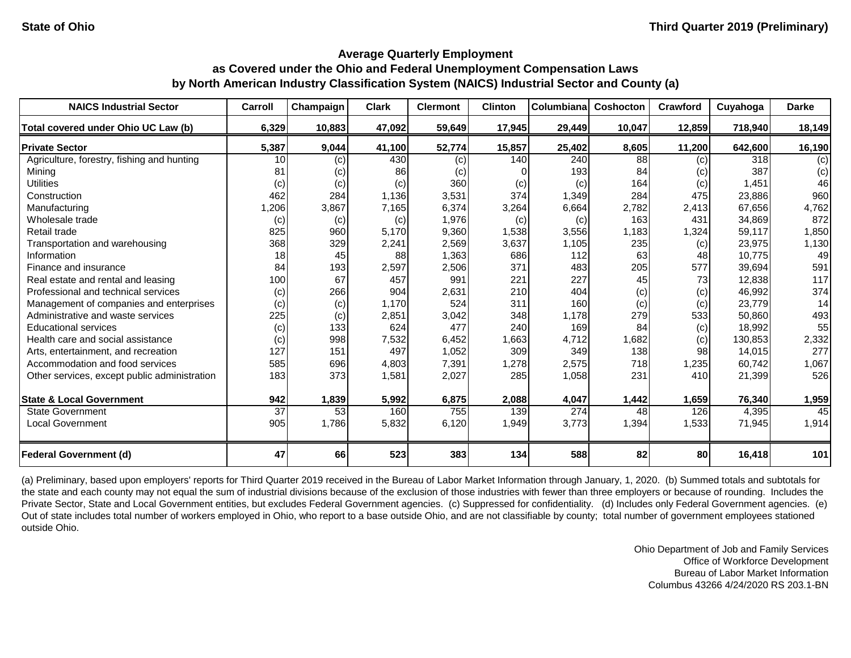| <b>NAICS Industrial Sector</b>               | Carroll | Champaign | <b>Clark</b> | <b>Clermont</b> | <b>Clinton</b> | Columbiana | <b>Coshocton</b> | Crawford | Cuyahoga | <b>Darke</b> |
|----------------------------------------------|---------|-----------|--------------|-----------------|----------------|------------|------------------|----------|----------|--------------|
| Total covered under Ohio UC Law (b)          | 6,329   | 10,883    | 47,092       | 59,649          | 17,945         | 29,449     | 10,047           | 12,859   | 718,940  | 18,149       |
| <b>Private Sector</b>                        | 5,387   | 9,044     | 41,100       | 52,774          | 15,857         | 25,402     | 8,605            | 11,200   | 642,600  | 16,190       |
| Agriculture, forestry, fishing and hunting   | 10      | (c)       | 430          | (c)             | 140            | 240        | 88               | (c)      | 318      | (c)          |
| Mining                                       | 81      | (c)       | 86           | (c)             |                | 193        | 84               | (c)      | 387      | (c)          |
| <b>Utilities</b>                             | (c)     | (c)       | (c)          | 360             | (c)            | (c)        | 164              | (c)      | 1,451    | 46           |
| Construction                                 | 462     | 284       | 1,136        | 3,531           | 374            | 1,349      | 284              | 475      | 23,886   | 960          |
| Manufacturing                                | 1,206   | 3,867     | 7,165        | 6,374           | 3,264          | 6,664      | 2,782            | 2,413    | 67,656   | 4,762        |
| Wholesale trade                              | (c)     | (c)       | (c)          | 1,976           | (c)            | (c)        | 163              | 431      | 34,869   | 872          |
| Retail trade                                 | 825     | 960       | 5,170        | 9,360           | 1,538          | 3,556      | 1,183            | 1,324    | 59,117   | 1,850        |
| Transportation and warehousing               | 368     | 329       | 2,241        | 2,569           | 3,637          | 1,105      | 235              | (c)      | 23,975   | 1,130        |
| Information                                  | 18      | 45        | 88           | 1,363           | 686            | 112        | 63               | 48       | 10,775   | 49           |
| Finance and insurance                        | 84      | 193       | 2,597        | 2,506           | 371            | 483        | 205              | 577      | 39,694   | 591          |
| Real estate and rental and leasing           | 100     | 67        | 457          | 991             | 221            | 227        | 45               | 73       | 12,838   | 117          |
| Professional and technical services          | (c)     | 266       | 904          | 2,631           | 210            | 404        | (c)              | (c)      | 46,992   | 374          |
| Management of companies and enterprises      | (c)     | (c)       | 1,170        | 524             | 311            | 160        | (c)              | (c)      | 23,779   | 14           |
| Administrative and waste services            | 225     | (c)       | 2,851        | 3,042           | 348            | 1,178      | 279              | 533      | 50,860   | 493          |
| <b>Educational services</b>                  | (c)     | 133       | 624          | 477             | 240            | 169        | 84               | (c)      | 18,992   | 55           |
| Health care and social assistance            | (c)     | 998       | 7,532        | 6,452           | 1,663          | 4,712      | 1,682            | (c)      | 130,853  | 2,332        |
| Arts, entertainment, and recreation          | 127     | 151       | 497          | 1,052           | 309            | 349        | 138              | 98       | 14,015   | 277          |
| Accommodation and food services              | 585     | 696       | 4,803        | 7,391           | 1,278          | 2,575      | 718              | 1,235    | 60,742   | 1,067        |
| Other services, except public administration | 183     | 373       | 1,581        | 2,027           | 285            | 1,058      | 231              | 410      | 21,399   | 526          |
| <b>State &amp; Local Government</b>          | 942     | 1,839     | 5,992        | 6,875           | 2,088          | 4,047      | 1,442            | 1,659    | 76,340   | 1,959        |
| <b>State Government</b>                      | 37      | 53        | 160          | 755             | 139            | 274        | 48               | 126      | 4,395    | 45           |
| <b>Local Government</b>                      | 905     | 1,786     | 5,832        | 6,120           | 1,949          | 3,773      | 1,394            | 1,533    | 71,945   | 1,914        |
| <b>Federal Government (d)</b>                | 47      | 66        | 523          | 383             | 134            | 588        | 82               | 80       | 16,418   | 101          |

(a) Preliminary, based upon employers' reports for Third Quarter 2019 received in the Bureau of Labor Market Information through January, 1, 2020. (b) Summed totals and subtotals for the state and each county may not equal the sum of industrial divisions because of the exclusion of those industries with fewer than three employers or because of rounding. Includes the Private Sector, State and Local Government entities, but excludes Federal Government agencies. (c) Suppressed for confidentiality. (d) Includes only Federal Government agencies. (e) Out of state includes total number of workers employed in Ohio, who report to a base outside Ohio, and are not classifiable by county; total number of government employees stationed outside Ohio.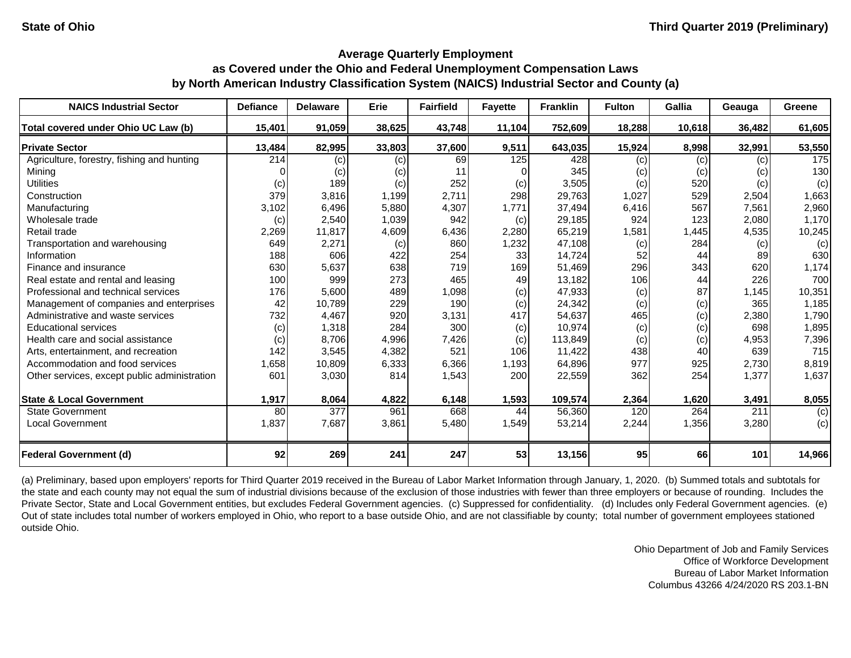| <b>NAICS Industrial Sector</b>               | <b>Defiance</b> | <b>Delaware</b> | <b>Erie</b> | <b>Fairfield</b> | <b>Fayette</b> | <b>Franklin</b> | <b>Fulton</b> | <b>Gallia</b> | Geauga | <b>Greene</b> |
|----------------------------------------------|-----------------|-----------------|-------------|------------------|----------------|-----------------|---------------|---------------|--------|---------------|
| Total covered under Ohio UC Law (b)          | 15,401          | 91,059          | 38,625      | 43,748           | 11,104         | 752,609         | 18,288        | 10,618        | 36,482 | 61,605        |
| <b>Private Sector</b>                        | 13,484          | 82,995          | 33,803      | 37,600           | 9,511          | 643,035         | 15,924        | 8,998         | 32,991 | 53,550        |
| Agriculture, forestry, fishing and hunting   | 214             | (c)             | (c)         | 69               | 125            | 428             | (c)           | (c)           | (c)    | 175           |
| Mining                                       |                 | (c)             | (c)         |                  |                | 345             | (c)           | (c)           | (c)    | 130           |
| <b>Utilities</b>                             | (c)             | 189             | (c)         | 252              | (c)            | 3,505           | (c)           | 520           | (c)    | (c)           |
| Construction                                 | 379             | 3,816           | 1,199       | 2,711            | 298            | 29,763          | 1,027         | 529           | 2,504  | 1,663         |
| Manufacturing                                | 3,102           | 6,496           | 5,880       | 4,307            | 1,771          | 37,494          | 6,416         | 567           | 7,561  | 2,960         |
| Wholesale trade                              | (c)             | 2,540           | 1,039       | 942              | (c)            | 29,185          | 924           | 123           | 2,080  | 1,170         |
| Retail trade                                 | 2,269           | 11,817          | 4,609       | 6,436            | 2,280          | 65,219          | 1,581         | 1,445         | 4,535  | 10,245        |
| Transportation and warehousing               | 649             | 2,271           | (c)         | 860              | 1,232          | 47,108          | (c)           | 284           | (c)    | (c)           |
| Information                                  | 188             | 606             | 422         | 254              | 33             | 14,724          | 52            | 44            | 89     | 630           |
| Finance and insurance                        | 630             | 5,637           | 638         | 719              | 169            | 51,469          | 296           | 343           | 620    | 1,174         |
| Real estate and rental and leasing           | 100             | 999             | 273         | 465              | 49             | 13,182          | 106           | 44            | 226    | 700           |
| Professional and technical services          | 176             | 5,600           | 489         | 1,098            | (c)            | 47,933          | (c)           | 87            | 1,145  | 10,351        |
| Management of companies and enterprises      | 42              | 10,789          | 229         | 190              | (c)            | 24,342          | (c)           | (c)           | 365    | 1,185         |
| Administrative and waste services            | 732             | 4,467           | 920         | 3,131            | 417            | 54,637          | 465           | (c)           | 2,380  | 1,790         |
| <b>Educational services</b>                  | (c)             | 1,318           | 284         | 300              | (c)            | 10,974          | (c)           | (c)           | 698    | 1,895         |
| Health care and social assistance            | (c)             | 8,706           | 4,996       | 7,426            | (c)            | 113,849         | (c)           | (c)           | 4,953  | 7,396         |
| Arts, entertainment, and recreation          | 142             | 3,545           | 4,382       | 521              | 106            | 11,422          | 438           | 40            | 639    | 715           |
| Accommodation and food services              | 1,658           | 10,809          | 6,333       | 6,366            | 1,193          | 64,896          | 977           | 925           | 2,730  | 8,819         |
| Other services, except public administration | 601             | 3,030           | 814         | 1,543            | 200            | 22,559          | 362           | 254           | 1,377  | 1,637         |
|                                              |                 |                 |             |                  |                |                 |               |               |        |               |
| <b>State &amp; Local Government</b>          | 1,917           | 8,064           | 4,822       | 6,148            | 1,593          | 109,574         | 2,364         | 1,620         | 3,491  | 8,055         |
| <b>State Government</b>                      | 80              | 377             | 961         | 668              | 44             | 56,360          | 120           | 264           | 211    | (c)           |
| <b>Local Government</b>                      | 1,837           | 7,687           | 3,861       | 5,480            | 1,549          | 53,214          | 2,244         | 1,356         | 3,280  | (c)           |
| <b>Federal Government (d)</b>                | 92              | 269             | 241         | 247              | 53             | 13,156          | 95            | 66            | 101    | 14,966        |

(a) Preliminary, based upon employers' reports for Third Quarter 2019 received in the Bureau of Labor Market Information through January, 1, 2020. (b) Summed totals and subtotals for the state and each county may not equal the sum of industrial divisions because of the exclusion of those industries with fewer than three employers or because of rounding. Includes the Private Sector, State and Local Government entities, but excludes Federal Government agencies. (c) Suppressed for confidentiality. (d) Includes only Federal Government agencies. (e) Out of state includes total number of workers employed in Ohio, who report to a base outside Ohio, and are not classifiable by county; total number of government employees stationed outside Ohio.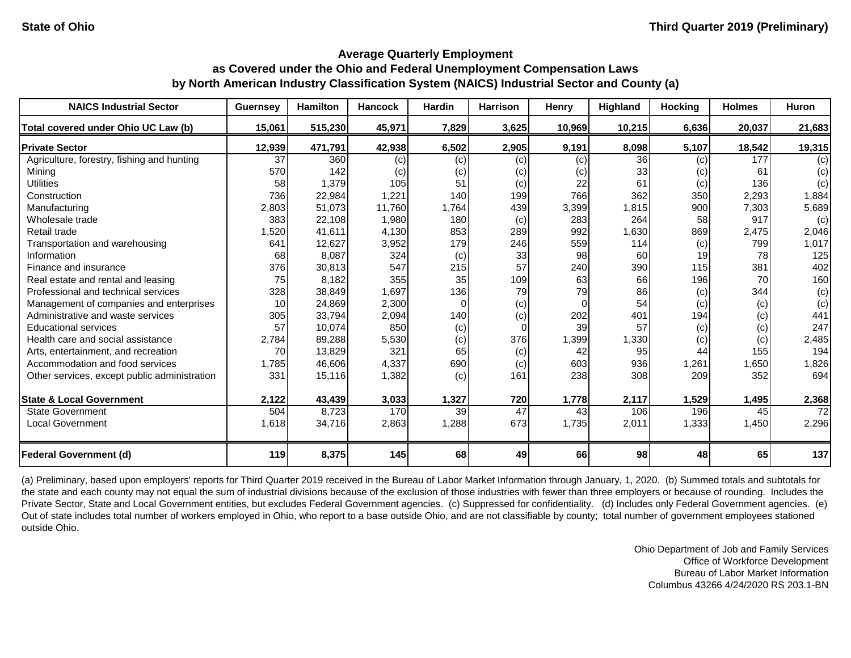| <b>NAICS Industrial Sector</b>               | <b>Guernsey</b> | <b>Hamilton</b> | <b>Hancock</b> | <b>Hardin</b> | <b>Harrison</b> | Henry  | Highland | <b>Hocking</b> | <b>Holmes</b> | Huron  |
|----------------------------------------------|-----------------|-----------------|----------------|---------------|-----------------|--------|----------|----------------|---------------|--------|
| Total covered under Ohio UC Law (b)          | 15,061          | 515,230         | 45,971         | 7,829         | 3,625           | 10,969 | 10,215   | 6,636          | 20,037        | 21,683 |
| <b>Private Sector</b>                        | 12,939          | 471,791         | 42,938         | 6,502         | 2,905           | 9,191  | 8,098    | 5,107          | 18,542        | 19,315 |
| Agriculture, forestry, fishing and hunting   | 37              | 360             | (c)            | (c)           | (c)             | (c)    | 36       | (c)            | 177           | (c)    |
| Mining                                       | 570             | 142             | (c)            | (c)           | (c)             | (c)    | 33       | (c)            | 61            | (c)    |
| <b>Utilities</b>                             | 58              | 1,379           | 105            | 51            | (c)             | 22     | 61       | (c)            | 136           | (c)    |
| Construction                                 | 736             | 22,984          | 1,221          | 140           | 199             | 766    | 362      | 350            | 2,293         | 1,884  |
| Manufacturing                                | 2,803           | 51,073          | 11,760         | 1,764         | 439             | 3,399  | 1,815    | 900            | 7,303         | 5,689  |
| Wholesale trade                              | 383             | 22,108          | 1,980          | 180           | (c)             | 283    | 264      | 58             | 917           | (c)    |
| Retail trade                                 | 1,520           | 41,611          | 4,130          | 853           | 289             | 992    | 1,630    | 869            | 2,475         | 2,046  |
| Transportation and warehousing               | 641             | 12,627          | 3,952          | 179           | 246             | 559    | 114      | (c)            | 799           | 1,017  |
| Information                                  | 68              | 8,087           | 324            | (c)           | 33              | 98     | 60       | 19             | 78            | 125    |
| Finance and insurance                        | 376             | 30,813          | 547            | 215           | 57              | 240    | 390      | 115            | 381           | 402    |
| Real estate and rental and leasing           | 75              | 8,182           | 355            | 35            | 109             | 63     | 66       | 196            | 70            | 160    |
| Professional and technical services          | 328             | 38,849          | 1,697          | 136           | 79              | 79     | 86       | (c)            | 344           | (c)    |
| Management of companies and enterprises      | 10              | 24,869          | 2,300          | 0             | (c)             |        | 54       | (c)            | (c)           | (c)    |
| Administrative and waste services            | 305             | 33,794          | 2,094          | 140           | (c)             | 202    | 401      | 194            | (c)           | 441    |
| <b>Educational services</b>                  | 57              | 10,074          | 850            | (c)           | $\Omega$        | 39     | 57       | (c)            | (c)           | 247    |
| Health care and social assistance            | 2,784           | 89,288          | 5,530          | (c)           | 376             | 1,399  | 1,330    | (c)            | (c)           | 2,485  |
| Arts, entertainment, and recreation          | 70              | 13,829          | 321            | 65            | (c)             | 42     | 95       | 44             | 155           | 194    |
| Accommodation and food services              | 1,785           | 46,606          | 4,337          | 690           | (c)             | 603    | 936      | 1,261          | 1,650         | 1,826  |
| Other services, except public administration | 331             | 15,116          | 1,382          | (c)           | 161             | 238    | 308      | 209            | 352           | 694    |
| <b>State &amp; Local Government</b>          | 2,122           | 43,439          | 3,033          | 1,327         | 720             | 1,778  | 2,117    | 1,529          | 1,495         | 2,368  |
| <b>State Government</b>                      | 504             | 8,723           | 170            | 39            | $\overline{47}$ | 43     | 106      | 196            | 45            | 72     |
| <b>Local Government</b>                      | 1,618           | 34,716          | 2,863          | 1,288         | 673             | 1,735  | 2,011    | 1,333          | 1,450         | 2,296  |
| <b>Federal Government (d)</b>                | 119             | 8,375           | 145            | 68            | 49              | 66     | 98       | 48             | 65            | 137    |

(a) Preliminary, based upon employers' reports for Third Quarter 2019 received in the Bureau of Labor Market Information through January, 1, 2020. (b) Summed totals and subtotals for the state and each county may not equal the sum of industrial divisions because of the exclusion of those industries with fewer than three employers or because of rounding. Includes the Private Sector, State and Local Government entities, but excludes Federal Government agencies. (c) Suppressed for confidentiality. (d) Includes only Federal Government agencies. (e) Out of state includes total number of workers employed in Ohio, who report to a base outside Ohio, and are not classifiable by county; total number of government employees stationed outside Ohio.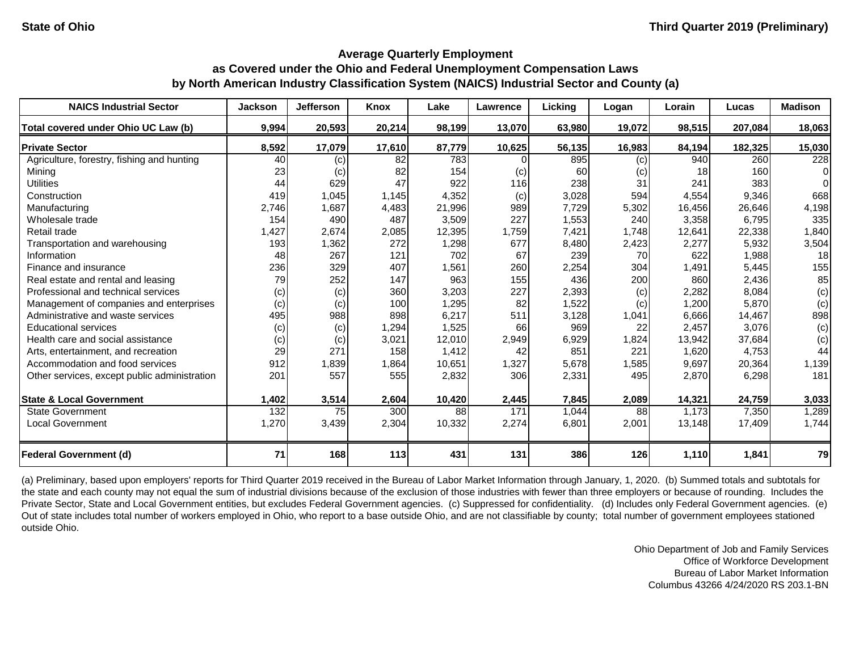| <b>NAICS Industrial Sector</b>               | <b>Jackson</b> | <b>Jefferson</b> | Knox   | Lake   | Lawrence | Licking | Logan  | Lorain | Lucas   | <b>Madison</b> |
|----------------------------------------------|----------------|------------------|--------|--------|----------|---------|--------|--------|---------|----------------|
| Total covered under Ohio UC Law (b)          | 9,994          | 20,593           | 20,214 | 98,199 | 13,070   | 63,980  | 19,072 | 98,515 | 207,084 | 18,063         |
| <b>Private Sector</b>                        | 8,592          | 17,079           | 17,610 | 87,779 | 10,625   | 56,135  | 16,983 | 84,194 | 182,325 | 15,030         |
| Agriculture, forestry, fishing and hunting   | 40             | (c)              | 82     | 783    |          | 895     | (c)    | 940    | 260     | 228            |
| Mining                                       | 23             | (c)              | 82     | 154    | (c)      | 60      | (c)    | 18     | 160     | $\overline{0}$ |
| <b>Utilities</b>                             | 44             | 629              | 47     | 922    | 116      | 238     | 31     | 241    | 383     | $\Omega$       |
| Construction                                 | 419            | 1,045            | 1,145  | 4,352  | (c)      | 3,028   | 594    | 4,554  | 9,346   | 668            |
| Manufacturing                                | 2,746          | 1,687            | 4,483  | 21,996 | 989      | 7,729   | 5,302  | 16,456 | 26,646  | 4,198          |
| Wholesale trade                              | 154            | 490              | 487    | 3,509  | 227      | 1,553   | 240    | 3,358  | 6,795   | 335            |
| Retail trade                                 | 1,427          | 2,674            | 2,085  | 12,395 | 1,759    | 7,421   | 1,748  | 12,641 | 22,338  | 1,840          |
| Transportation and warehousing               | 193            | 1,362            | 272    | 1,298  | 677      | 8,480   | 2,423  | 2,277  | 5,932   | 3,504          |
| Information                                  | 48             | 267              | 121    | 702    | 67       | 239     | 70     | 622    | 1,988   | 18             |
| Finance and insurance                        | 236            | 329              | 407    | 1,561  | 260      | 2,254   | 304    | 1,491  | 5,445   | 155            |
| Real estate and rental and leasing           | 79             | 252              | 147    | 963    | 155      | 436     | 200    | 860    | 2,436   | 85             |
| Professional and technical services          | (c)            | (c)              | 360    | 3,203  | 227      | 2,393   | (c)    | 2,282  | 8,084   | (c)            |
| Management of companies and enterprises      | (c)            | (c)              | 100    | 1,295  | 82       | 1,522   | (c)    | 1,200  | 5,870   | (c)            |
| Administrative and waste services            | 495            | 988              | 898    | 6,217  | 511      | 3,128   | 1,041  | 6,666  | 14,467  | 898            |
| <b>Educational services</b>                  | (c)            | (c)              | 1,294  | 1,525  | 66       | 969     | 22     | 2,457  | 3,076   | (c)            |
| Health care and social assistance            | (c)            | (c)              | 3,021  | 12,010 | 2,949    | 6,929   | 1,824  | 13,942 | 37,684  | (c)            |
| Arts, entertainment, and recreation          | 29             | 271              | 158    | 1,412  | 42       | 851     | 221    | 1,620  | 4,753   | 44             |
| Accommodation and food services              | 912            | 1,839            | 1,864  | 10,651 | 1,327    | 5,678   | 1,585  | 9,697  | 20,364  | 1,139          |
| Other services, except public administration | 201            | 557              | 555    | 2,832  | 306      | 2,331   | 495    | 2,870  | 6,298   | 181            |
| <b>State &amp; Local Government</b>          | 1,402          | 3,514            | 2,604  | 10,420 | 2,445    | 7,845   | 2,089  | 14,321 | 24,759  | 3,033          |
| <b>State Government</b>                      | 132            | 75               | 300    | 88     | 171      | 1,044   | 88     | 1,173  | 7,350   | 1,289          |
| <b>Local Government</b>                      | 1,270          | 3,439            | 2,304  | 10,332 | 2,274    | 6,801   | 2,001  | 13,148 | 17,409  | 1,744          |
| <b>Federal Government (d)</b>                | 71             | 168              | 113    | 431    | 131      | 386     | 126    | 1,110  | 1,841   | 79             |

(a) Preliminary, based upon employers' reports for Third Quarter 2019 received in the Bureau of Labor Market Information through January, 1, 2020. (b) Summed totals and subtotals for the state and each county may not equal the sum of industrial divisions because of the exclusion of those industries with fewer than three employers or because of rounding. Includes the Private Sector, State and Local Government entities, but excludes Federal Government agencies. (c) Suppressed for confidentiality. (d) Includes only Federal Government agencies. (e) Out of state includes total number of workers employed in Ohio, who report to a base outside Ohio, and are not classifiable by county; total number of government employees stationed outside Ohio.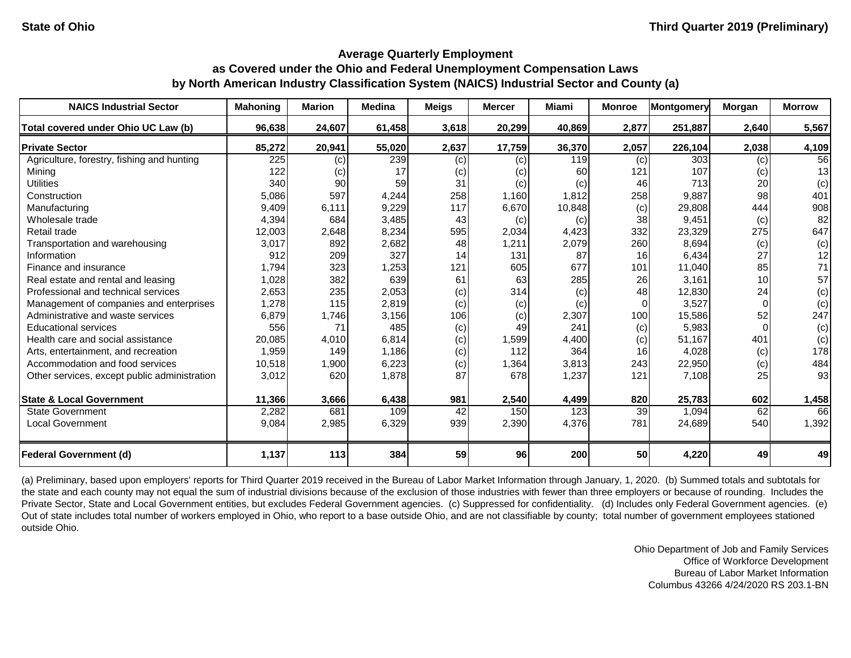| <b>NAICS Industrial Sector</b>               | <b>Mahoning</b> | <b>Marion</b> | <b>Medina</b> | <b>Meigs</b> | <b>Mercer</b> | <b>Miami</b> | <b>Monroe</b> | Montgomery | Morgan   | <b>Morrow</b> |
|----------------------------------------------|-----------------|---------------|---------------|--------------|---------------|--------------|---------------|------------|----------|---------------|
| Total covered under Ohio UC Law (b)          | 96,638          | 24,607        | 61,458        | 3,618        | 20,299        | 40,869       | 2,877         | 251,887    | 2,640    | 5,567         |
| <b>Private Sector</b>                        | 85,272          | 20,941        | 55,020        | 2,637        | 17,759        | 36,370       | 2,057         | 226,104    | 2,038    | 4,109         |
| Agriculture, forestry, fishing and hunting   | 225             | (c)           | 239           | (c)          | (c)           | 119          | (c)           | 303        | (c)      | 56            |
| Mining                                       | 122             | (c)           | 17            | (c)          | (c)           | 60           | 121           | 107        | (c)      | 13            |
| <b>Utilities</b>                             | 340             | 90            | 59            | 31           | (c)           | (c)          | 46            | 713        | 20       | (c)           |
| Construction                                 | 5,086           | 597           | 4,244         | 258          | 1,160         | 1,812        | 258           | 9,887      | 98       | 401           |
| Manufacturing                                | 9,409           | 6,111         | 9,229         | 117          | 6,670         | 10,848       | (c)           | 29,808     | 444      | 908           |
| Wholesale trade                              | 4,394           | 684           | 3,485         | 43           | (c)           | (c)          | 38            | 9,451      | (c)      | 82            |
| Retail trade                                 | 12,003          | 2,648         | 8,234         | 595          | 2,034         | 4,423        | 332           | 23,329     | 275      | 647           |
| Transportation and warehousing               | 3,017           | 892           | 2,682         | 48           | 1,211         | 2,079        | 260           | 8,694      | (c)      | (c)           |
| Information                                  | 912             | 209           | 327           | 14           | 131           | 87           | 16            | 6,434      | 27       | 12            |
| Finance and insurance                        | 1,794           | 323           | 1,253         | 121          | 605           | 677          | 101           | 11,040     | 85       | 71            |
| Real estate and rental and leasing           | 1,028           | 382           | 639           | 61           | 63            | 285          | 26            | 3,161      | 10       | 57            |
| Professional and technical services          | 2,653           | 235           | 2,053         | (c)          | 314           | (c)          | 48            | 12,830     | 24       | (c)           |
| Management of companies and enterprises      | 1,278           | 115           | 2,819         | (c)          | (c)           | (c)          | $\Omega$      | 3,527      | $\Omega$ | (c)           |
| Administrative and waste services            | 6,879           | 1,746         | 3,156         | 106          | (c)           | 2,307        | 100           | 15,586     | 52       | 247           |
| <b>Educational services</b>                  | 556             | 71            | 485           | (c)          | 49            | 241          | (c)           | 5,983      | $\Omega$ | (c)           |
| Health care and social assistance            | 20,085          | 4,010         | 6,814         | (c)          | 1,599         | 4,400        | (c)           | 51,167     | 401      | (c)           |
| Arts, entertainment, and recreation          | 1,959           | 149           | 1,186         | (c)          | 112           | 364          | 16            | 4,028      | (c)      | 178           |
| Accommodation and food services              | 10,518          | 1,900         | 6,223         | (c)          | 1,364         | 3,813        | 243           | 22,950     | (c)      | 484           |
| Other services, except public administration | 3,012           | 620           | 1,878         | 87           | 678           | 1,237        | 121           | 7,108      | 25       | 93            |
| <b>State &amp; Local Government</b>          | 11,366          | 3,666         | 6,438         | 981          | 2,540         | 4,499        | 820           | 25,783     | 602      | 1,458         |
| <b>State Government</b>                      | 2,282           | 681           | 109           | 42           | 150           | 123          | 39            | 1,094      | 62       | 66            |
| <b>Local Government</b>                      | 9,084           | 2,985         | 6,329         | 939          | 2,390         | 4,376        | 781           | 24,689     | 540      | 1,392         |
| <b>Federal Government (d)</b>                | 1,137           | 113           | 384           | 59           | 96            | 200          | 50            | 4,220      | 49       | 49            |

(a) Preliminary, based upon employers' reports for Third Quarter 2019 received in the Bureau of Labor Market Information through January, 1, 2020. (b) Summed totals and subtotals for the state and each county may not equal the sum of industrial divisions because of the exclusion of those industries with fewer than three employers or because of rounding. Includes the Private Sector, State and Local Government entities, but excludes Federal Government agencies. (c) Suppressed for confidentiality. (d) Includes only Federal Government agencies. (e) Out of state includes total number of workers employed in Ohio, who report to a base outside Ohio, and are not classifiable by county; total number of government employees stationed outside Ohio.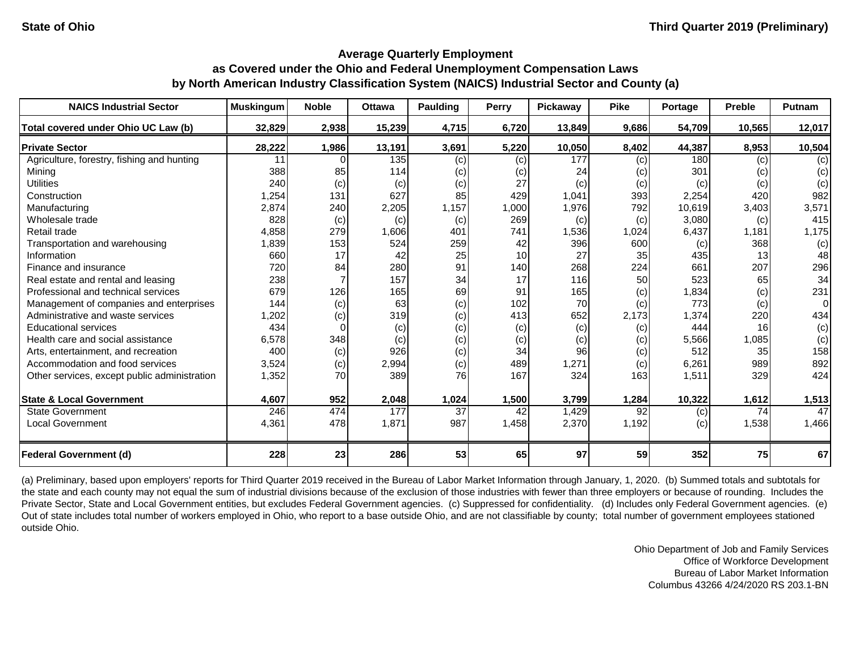| <b>NAICS Industrial Sector</b>               | <b>Muskingum</b> | <b>Noble</b> | <b>Ottawa</b> | Paulding | Perry | Pickaway | <b>Pike</b> | Portage | <b>Preble</b> | Putnam         |
|----------------------------------------------|------------------|--------------|---------------|----------|-------|----------|-------------|---------|---------------|----------------|
| Total covered under Ohio UC Law (b)          | 32,829           | 2,938        | 15,239        | 4,715    | 6,720 | 13,849   | 9,686       | 54,709  | 10,565        | 12,017         |
| <b>Private Sector</b>                        | 28,222           | 1,986        | 13,191        | 3,691    | 5,220 | 10,050   | 8,402       | 44,387  | 8,953         | 10,504         |
| Agriculture, forestry, fishing and hunting   | 11               |              | 135           | (c)      | (c)   | 177      | (c)         | 180     | (c)           | (c)            |
| Mining                                       | 388              | 85           | 114           | (c)      | (c)   | 24       | (c)         | 301     | (c)           | (c)            |
| <b>Utilities</b>                             | 240              | (c)          | (c)           | (c)      | 27    | (c)      | (c)         | (c)     | (c)           | (c)            |
| Construction                                 | 1,254            | 131          | 627           | 85       | 429   | 1,041    | 393         | 2,254   | 420           | 982            |
| Manufacturing                                | 2,874            | 240          | 2,205         | 1,157    | 1,000 | 1,976    | 792         | 10,619  | 3,403         | 3,571          |
| Wholesale trade                              | 828              | (c)          | (c)           | (c)      | 269   | (c)      | (c)         | 3,080   | (c)           | 415            |
| Retail trade                                 | 4,858            | 279          | 1,606         | 401      | 741   | 1,536    | 1,024       | 6,437   | 1,181         | 1,175          |
| Transportation and warehousing               | 1,839            | 153          | 524           | 259      | 42    | 396      | 600         | (c)     | 368           | (c)            |
| Information                                  | 660              | 17           | 42            | 25       | 10    | 27       | 35          | 435     | 13            | 48             |
| Finance and insurance                        | 720              | 84           | 280           | 91       | 140   | 268      | 224         | 661     | 207           | 296            |
| Real estate and rental and leasing           | 238              |              | 157           | 34       | 17    | 116      | 50          | 523     | 65            | 34             |
| Professional and technical services          | 679              | 126          | 165           | 69       | 91    | 165      | (c)         | 1,834   | (c)           | 231            |
| Management of companies and enterprises      | 144              | (c)          | 63            | (c)      | 102   | 70       | (c)         | 773     | (c)           | $\overline{0}$ |
| Administrative and waste services            | 1,202            | (c)          | 319           | (c)      | 413   | 652      | 2,173       | 1,374   | 220           | 434            |
| <b>Educational services</b>                  | 434              |              | (c)           | (c)      | (c)   | (c)      | (c)         | 444     | 16            | (c)            |
| Health care and social assistance            | 6,578            | 348          | (c)           | (c)      | (c)   | (c)      | (c)         | 5,566   | 1,085         | (c)            |
| Arts, entertainment, and recreation          | 400              | (c)          | 926           | (c)      | 34    | 96       | (c)         | 512     | 35            | 158            |
| Accommodation and food services              | 3,524            | (c)          | 2,994         | (c)      | 489   | 1,271    | (c)         | 6,261   | 989           | 892            |
| Other services, except public administration | 1,352            | 70           | 389           | 76       | 167   | 324      | 163         | 1,511   | 329           | 424            |
| <b>State &amp; Local Government</b>          | 4,607            | 952          | 2,048         | 1,024    | 1,500 | 3,799    | 1,284       | 10,322  | 1,612         | 1,513          |
| <b>State Government</b>                      | 246              | 474          | 177           | 37       | 42    | 1,429    | 92          | (c)     | 74            | 47             |
| <b>Local Government</b>                      | 4,361            | 478          | 1,871         | 987      | 1,458 | 2,370    | 1,192       | (c)     | 1,538         | 1,466          |
| <b>Federal Government (d)</b>                | 228              | 23           | 286           | 53       | 65    | 97       | 59          | 352     | 75            | 67             |

(a) Preliminary, based upon employers' reports for Third Quarter 2019 received in the Bureau of Labor Market Information through January, 1, 2020. (b) Summed totals and subtotals for the state and each county may not equal the sum of industrial divisions because of the exclusion of those industries with fewer than three employers or because of rounding. Includes the Private Sector, State and Local Government entities, but excludes Federal Government agencies. (c) Suppressed for confidentiality. (d) Includes only Federal Government agencies. (e) Out of state includes total number of workers employed in Ohio, who report to a base outside Ohio, and are not classifiable by county; total number of government employees stationed outside Ohio.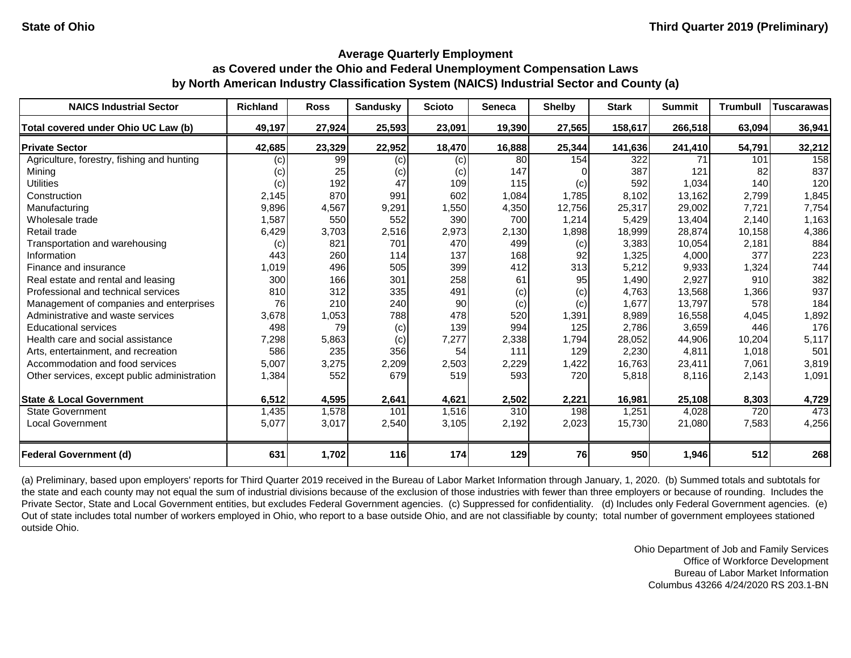| <b>NAICS Industrial Sector</b>               | <b>Richland</b> | <b>Ross</b> | <b>Sandusky</b> | <b>Scioto</b> | <b>Seneca</b> | <b>Shelby</b> | <b>Stark</b> | <b>Summit</b> | <b>Trumbull</b> | <b>Tuscarawas</b> |
|----------------------------------------------|-----------------|-------------|-----------------|---------------|---------------|---------------|--------------|---------------|-----------------|-------------------|
| Total covered under Ohio UC Law (b)          | 49,197          | 27,924      | 25,593          | 23,091        | 19,390        | 27,565        | 158,617      | 266,518       | 63,094          | 36,941            |
| <b>Private Sector</b>                        | 42,685          | 23,329      | 22,952          | 18,470        | 16,888        | 25,344        | 141,636      | 241,410       | 54,791          | 32,212            |
| Agriculture, forestry, fishing and hunting   | (c)             | 99          | (c)             | (c)           | 80            | 154           | 322          | 71            | 101             | 158               |
| Mining                                       | (c)             | 25          | (c)             | (c)           | 147           |               | 387          | 121           | 82              | 837               |
| <b>Utilities</b>                             | (c)             | 192         | 47              | 109           | 115           | (c)           | 592          | 1,034         | 140             | 120               |
| Construction                                 | 2,145           | 870         | 991             | 602           | 1,084         | 1,785         | 8,102        | 13,162        | 2,799           | 1,845             |
| Manufacturing                                | 9,896           | 4,567       | 9,291           | 1,550         | 4,350         | 12,756        | 25,317       | 29,002        | 7,721           | 7,754             |
| Wholesale trade                              | 1,587           | 550         | 552             | 390           | 700           | 1,214         | 5,429        | 13,404        | 2,140           | 1,163             |
| Retail trade                                 | 6,429           | 3,703       | 2,516           | 2,973         | 2,130         | 1,898         | 18,999       | 28,874        | 10,158          | 4,386             |
| Transportation and warehousing               | (c)             | 821         | 701             | 470           | 499           | (c)           | 3,383        | 10,054        | 2,181           | 884               |
| Information                                  | 443             | 260         | 114             | 137           | 168           | 92            | 1,325        | 4,000         | 377             | 223               |
| Finance and insurance                        | 1,019           | 496         | 505             | 399           | 412           | 313           | 5,212        | 9,933         | 1,324           | 744               |
| Real estate and rental and leasing           | 300             | 166         | 301             | 258           | 61            | 95            | 1,490        | 2,927         | 910             | 382               |
| Professional and technical services          | 810             | 312         | 335             | 491           | (c)           | (c)           | 4,763        | 13,568        | 1,366           | 937               |
| Management of companies and enterprises      | 76              | 210         | 240             | 90            | (c)           | (c)           | 1,677        | 13,797        | 578             | 184               |
| Administrative and waste services            | 3,678           | 1,053       | 788             | 478           | 520           | 1,391         | 8,989        | 16,558        | 4,045           | 1,892             |
| <b>Educational services</b>                  | 498             | 79          | (c)             | 139           | 994           | 125           | 2,786        | 3,659         | 446             | 176               |
| Health care and social assistance            | 7,298           | 5,863       | (c)             | 7,277         | 2,338         | 1,794         | 28,052       | 44,906        | 10,204          | 5,117             |
| Arts, entertainment, and recreation          | 586             | 235         | 356             | 54            | 111           | 129           | 2,230        | 4,811         | 1,018           | 501               |
| Accommodation and food services              | 5,007           | 3,275       | 2,209           | 2,503         | 2,229         | 1,422         | 16,763       | 23,411        | 7,061           | 3,819             |
| Other services, except public administration | 1,384           | 552         | 679             | 519           | 593           | 720           | 5,818        | 8,116         | 2,143           | 1,091             |
| <b>State &amp; Local Government</b>          | 6,512           | 4,595       | 2,641           | 4,621         | 2,502         | 2,221         | 16,981       | 25,108        | 8,303           | 4,729             |
| <b>State Government</b>                      | 1,435           | 1,578       | 101             | 1,516         | 310           | 198           | 1,251        | 4,028         | 720             | 473               |
| <b>Local Government</b>                      | 5,077           | 3,017       | 2,540           | 3,105         | 2,192         | 2,023         | 15,730       | 21,080        | 7,583           | 4,256             |
| <b>Federal Government (d)</b>                | 631             | 1,702       | 116             | 174           | 129           | 76            | 950          | 1,946         | 512             | 268               |

(a) Preliminary, based upon employers' reports for Third Quarter 2019 received in the Bureau of Labor Market Information through January, 1, 2020. (b) Summed totals and subtotals for the state and each county may not equal the sum of industrial divisions because of the exclusion of those industries with fewer than three employers or because of rounding. Includes the Private Sector, State and Local Government entities, but excludes Federal Government agencies. (c) Suppressed for confidentiality. (d) Includes only Federal Government agencies. (e) Out of state includes total number of workers employed in Ohio, who report to a base outside Ohio, and are not classifiable by county; total number of government employees stationed outside Ohio.